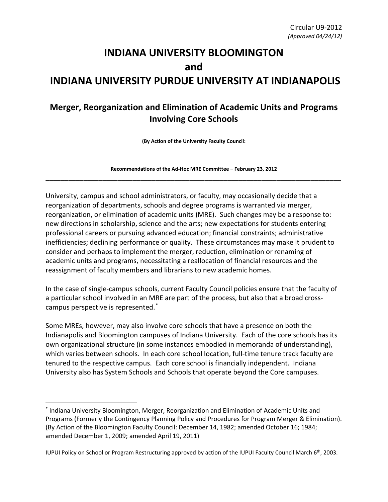## **INDIANA UNIVERSITY BLOOMINGTON and INDIANA UNIVERSITY PURDUE UNIVERSITY AT INDIANAPOLIS**

## **Merger, Reorganization and Elimination of Academic Units and Programs Involving Core Schools**

**(By Action of the University Faculty Council:** 

**Recommendations of the Ad-Hoc MRE Committee – February 23, 2012 \_\_\_\_\_\_\_\_\_\_\_\_\_\_\_\_\_\_\_\_\_\_\_\_\_\_\_\_\_\_\_\_\_\_\_\_\_\_\_\_\_\_\_\_\_\_\_\_\_\_\_\_\_\_\_\_\_\_\_\_\_\_\_\_\_\_\_\_\_\_\_\_\_\_\_\_\_\_**

University, campus and school administrators, or faculty, may occasionally decide that a reorganization of departments, schools and degree programs is warranted via merger, reorganization, or elimination of academic units (MRE). Such changes may be a response to: new directions in scholarship, science and the arts; new expectations for students entering professional careers or pursuing advanced education; financial constraints; administrative inefficiencies; declining performance or quality. These circumstances may make it prudent to consider and perhaps to implement the merger, reduction, elimination or renaming of academic units and programs, necessitating a reallocation of financial resources and the reassignment of faculty members and librarians to new academic homes.

In the case of single-campus schools, current Faculty Council policies ensure that the faculty of a particular school involved in an MRE are part of the process, but also that a broad crosscampus perspective is represented. [\\*](#page-0-0)

Some MREs, however, may also involve core schools that have a presence on both the Indianapolis and Bloomington campuses of Indiana University. Each of the core schools has its own organizational structure (in some instances embodied in memoranda of understanding), which varies between schools. In each core school location, full-time tenure track faculty are tenured to the respective campus. Each core school is financially independent. Indiana University also has System Schools and Schools that operate beyond the Core campuses.

l

<span id="page-0-0"></span><sup>\*</sup> Indiana University Bloomington, Merger, Reorganization and Elimination of Academic Units and Programs (Formerly the Contingency Planning Policy and Procedures for Program Merger & Elimination). (By Action of the Bloomington Faculty Council: December 14, 1982; amended October 16; 1984; amended December 1, 2009; amended April 19, 2011)

IUPUI Policy on School or Program Restructuring approved by action of the IUPUI Faculty Council March 6<sup>th</sup>, 2003.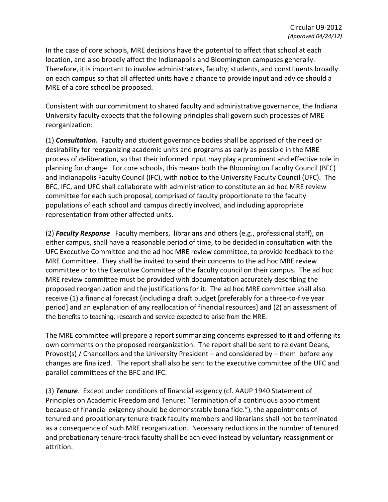In the case of core schools, MRE decisions have the potential to affect that school at each location, and also broadly affect the Indianapolis and Bloomington campuses generally. Therefore, it is important to involve administrators, faculty, students, and constituents broadly on each campus so that all affected units have a chance to provide input and advice should a MRE of a core school be proposed.

Consistent with our commitment to shared faculty and administrative governance, the Indiana University faculty expects that the following principles shall govern such processes of MRE reorganization:

(1) *Consultation***.** Faculty and student governance bodies shall be apprised of the need or desirability for reorganizing academic units and programs as early as possible in the MRE process of deliberation, so that their informed input may play a prominent and effective role in planning for change. For core schools, this means both the Bloomington Faculty Council (BFC) and Indianapolis Faculty Council (IFC), with notice to the University Faculty Council (UFC). The BFC, IFC, and UFC shall collaborate with administration to constitute an ad hoc MRE review committee for each such proposal, comprised of faculty proportionate to the faculty populations of each school and campus directly involved, and including appropriate representation from other affected units.

(2) *Faculty Response* Faculty members, librarians and others (e.g., professional staff), on either campus, shall have a reasonable period of time, to be decided in consultation with the UFC Executive Committee and the ad hoc MRE review committee, to provide feedback to the MRE Committee. They shall be invited to send their concerns to the ad hoc MRE review committee or to the Executive Committee of the faculty council on their campus. The ad hoc MRE review committee must be provided with documentation accurately describing the proposed reorganization and the justifications for it. The ad hoc MRE committee shall also receive (1) a financial forecast (including a draft budget [preferably for a three-to-five year period] and an explanation of any reallocation of financial resources] and (2) an assessment of the benefits to teaching, research and service expected to arise from the MRE.

The MRE committee will prepare a report summarizing concerns expressed to it and offering its own comments on the proposed reorganization. The report shall be sent to relevant Deans, Provost(s) / Chancellors and the University President – and considered by – them before any changes are finalized. The report shall also be sent to the executive committee of the UFC and parallel committees of the BFC and IFC.

(3) *Tenure*. Except under conditions of financial exigency (cf. AAUP 1940 Statement of Principles on Academic Freedom and Tenure: "Termination of a continuous appointment because of financial exigency should be demonstrably bona fide."), the appointments of tenured and probationary tenure-track faculty members and librarians shall not be terminated as a consequence of such MRE reorganization. Necessary reductions in the number of tenured and probationary tenure-track faculty shall be achieved instead by voluntary reassignment or attrition.